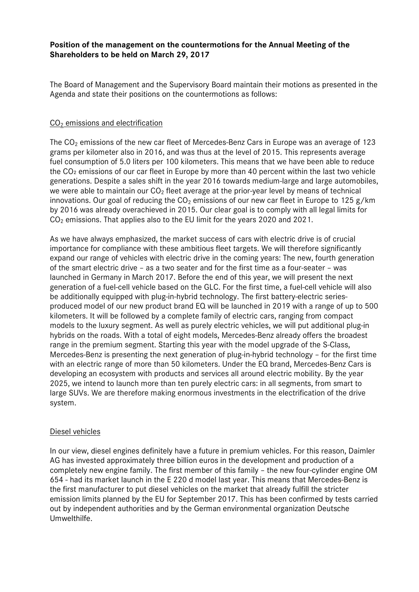# **Position of the management on the countermotions for the Annual Meeting of the Shareholders to be held on March 29, 2017**

The Board of Management and the Supervisory Board maintain their motions as presented in the Agenda and state their positions on the countermotions as follows:

## CO2 emissions and electrification

The  $CO<sub>2</sub>$  emissions of the new car fleet of Mercedes-Benz Cars in Europe was an average of 123 grams per kilometer also in 2016, and was thus at the level of 2015. This represents average fuel consumption of 5.0 liters per 100 kilometers. This means that we have been able to reduce the CO₂ emissions of our car fleet in Europe by more than 40 percent within the last two vehicle generations. Despite a sales shift in the year 2016 towards medium-large and large automobiles, we were able to maintain our  $CO<sub>2</sub>$  fleet average at the prior-year level by means of technical innovations. Our goal of reducing the  $CO<sub>2</sub>$  emissions of our new car fleet in Europe to 125 g/km by 2016 was already overachieved in 2015. Our clear goal is to comply with all legal limits for  $CO<sub>2</sub>$  emissions. That applies also to the EU limit for the years 2020 and 2021.

As we have always emphasized, the market success of cars with electric drive is of crucial importance for compliance with these ambitious fleet targets. We will therefore significantly expand our range of vehicles with electric drive in the coming years: The new, fourth generation of the smart electric drive – as a two seater and for the first time as a four-seater – was launched in Germany in March 2017. Before the end of this year, we will present the next generation of a fuel-cell vehicle based on the GLC. For the first time, a fuel-cell vehicle will also be additionally equipped with plug-in-hybrid technology. The first battery-electric seriesproduced model of our new product brand EQ will be launched in 2019 with a range of up to 500 kilometers. It will be followed by a complete family of electric cars, ranging from compact models to the luxury segment. As well as purely electric vehicles, we will put additional plug-in hybrids on the roads. With a total of eight models, Mercedes-Benz already offers the broadest range in the premium segment. Starting this year with the model upgrade of the S-Class, Mercedes-Benz is presenting the next generation of plug-in-hybrid technology – for the first time with an electric range of more than 50 kilometers. Under the EQ brand, Mercedes-Benz Cars is developing an ecosystem with products and services all around electric mobility. By the year 2025, we intend to launch more than ten purely electric cars: in all segments, from smart to large SUVs. We are therefore making enormous investments in the electrification of the drive system.

### Diesel vehicles

In our view, diesel engines definitely have a future in premium vehicles. For this reason, Daimler AG has invested approximately three billion euros in the development and production of a completely new engine family. The first member of this family – the new four-cylinder engine OM 654 ‐ had its market launch in the E 220 d model last year. This means that Mercedes‐Benz is the first manufacturer to put diesel vehicles on the market that already fulfill the stricter emission limits planned by the EU for September 2017. This has been confirmed by tests carried out by independent authorities and by the German environmental organization Deutsche Umwelthilfe.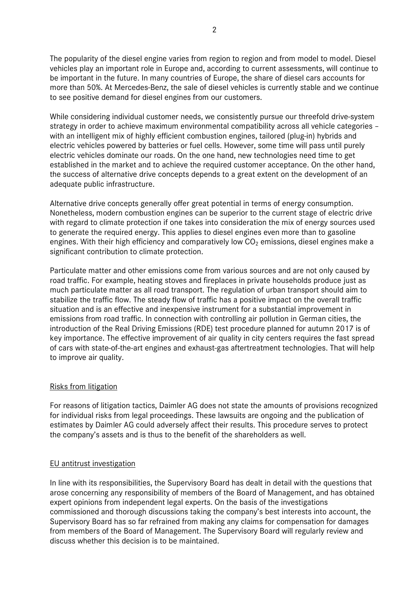The popularity of the diesel engine varies from region to region and from model to model. Diesel vehicles play an important role in Europe and, according to current assessments, will continue to be important in the future. In many countries of Europe, the share of diesel cars accounts for more than 50%. At Mercedes-Benz, the sale of diesel vehicles is currently stable and we continue to see positive demand for diesel engines from our customers.

While considering individual customer needs, we consistently pursue our threefold drive-system strategy in order to achieve maximum environmental compatibility across all vehicle categories – with an intelligent mix of highly efficient combustion engines, tailored (plug-in) hybrids and electric vehicles powered by batteries or fuel cells. However, some time will pass until purely electric vehicles dominate our roads. On the one hand, new technologies need time to get established in the market and to achieve the required customer acceptance. On the other hand, the success of alternative drive concepts depends to a great extent on the development of an adequate public infrastructure.

Alternative drive concepts generally offer great potential in terms of energy consumption. Nonetheless, modern combustion engines can be superior to the current stage of electric drive with regard to climate protection if one takes into consideration the mix of energy sources used to generate the required energy. This applies to diesel engines even more than to gasoline engines. With their high efficiency and comparatively low  $CO<sub>2</sub>$  emissions, diesel engines make a significant contribution to climate protection.

Particulate matter and other emissions come from various sources and are not only caused by road traffic. For example, heating stoves and fireplaces in private households produce just as much particulate matter as all road transport. The regulation of urban transport should aim to stabilize the traffic flow. The steady flow of traffic has a positive impact on the overall traffic situation and is an effective and inexpensive instrument for a substantial improvement in emissions from road traffic. In connection with controlling air pollution in German cities, the introduction of the Real Driving Emissions (RDE) test procedure planned for autumn 2017 is of key importance. The effective improvement of air quality in city centers requires the fast spread of cars with state-of-the-art engines and exhaust-gas aftertreatment technologies. That will help to improve air quality.

# Risks from litigation

For reasons of litigation tactics, Daimler AG does not state the amounts of provisions recognized for individual risks from legal proceedings. These lawsuits are ongoing and the publication of estimates by Daimler AG could adversely affect their results. This procedure serves to protect the company's assets and is thus to the benefit of the shareholders as well.

### EU antitrust investigation

In line with its responsibilities, the Supervisory Board has dealt in detail with the questions that arose concerning any responsibility of members of the Board of Management, and has obtained expert opinions from independent legal experts. On the basis of the investigations commissioned and thorough discussions taking the company's best interests into account, the Supervisory Board has so far refrained from making any claims for compensation for damages from members of the Board of Management. The Supervisory Board will regularly review and discuss whether this decision is to be maintained.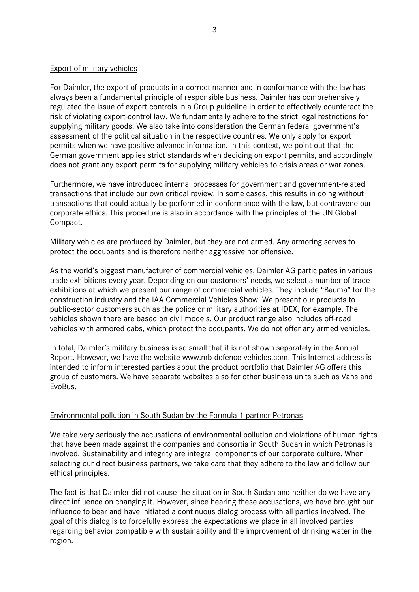### Export of military vehicles

For Daimler, the export of products in a correct manner and in conformance with the law has always been a fundamental principle of responsible business. Daimler has comprehensively regulated the issue of export controls in a Group guideline in order to effectively counteract the risk of violating export-control law. We fundamentally adhere to the strict legal restrictions for supplying military goods. We also take into consideration the German federal government's assessment of the political situation in the respective countries. We only apply for export permits when we have positive advance information. In this context, we point out that the German government applies strict standards when deciding on export permits, and accordingly does not grant any export permits for supplying military vehicles to crisis areas or war zones.

Furthermore, we have introduced internal processes for government and government-related transactions that include our own critical review. In some cases, this results in doing without transactions that could actually be performed in conformance with the law, but contravene our corporate ethics. This procedure is also in accordance with the principles of the UN Global Compact.

Military vehicles are produced by Daimler, but they are not armed. Any armoring serves to protect the occupants and is therefore neither aggressive nor offensive.

As the world's biggest manufacturer of commercial vehicles, Daimler AG participates in various trade exhibitions every year. Depending on our customers' needs, we select a number of trade exhibitions at which we present our range of commercial vehicles. They include "Bauma" for the construction industry and the IAA Commercial Vehicles Show. We present our products to public-sector customers such as the police or military authorities at IDEX, for example. The vehicles shown there are based on civil models. Our product range also includes off-road vehicles with armored cabs, which protect the occupants. We do not offer any armed vehicles.

In total, Daimler's military business is so small that it is not shown separately in the Annual Report. However, we have the website www.mb-defence-vehicles.com. This Internet address is intended to inform interested parties about the product portfolio that Daimler AG offers this group of customers. We have separate websites also for other business units such as Vans and EvoBus.

### Environmental pollution in South Sudan by the Formula 1 partner Petronas

We take very seriously the accusations of environmental pollution and violations of human rights that have been made against the companies and consortia in South Sudan in which Petronas is involved. Sustainability and integrity are integral components of our corporate culture. When selecting our direct business partners, we take care that they adhere to the law and follow our ethical principles.

The fact is that Daimler did not cause the situation in South Sudan and neither do we have any direct influence on changing it. However, since hearing these accusations, we have brought our influence to bear and have initiated a continuous dialog process with all parties involved. The goal of this dialog is to forcefully express the expectations we place in all involved parties regarding behavior compatible with sustainability and the improvement of drinking water in the region.